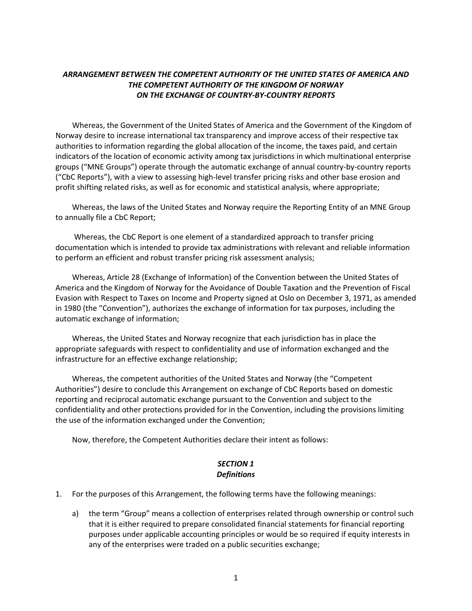### *ARRANGEMENT BETWEEN THE COMPETENT AUTHORITY OF THE UNITED STATES OF AMERICA AND THE COMPETENT AUTHORITY OF THE KINGDOM OF NORWAY ON THE EXCHANGE OF COUNTRY-BY-COUNTRY REPORTS*

Whereas, the Government of the United States of America and the Government of the Kingdom of Norway desire to increase international tax transparency and improve access of their respective tax authorities to information regarding the global allocation of the income, the taxes paid, and certain indicators of the location of economic activity among tax jurisdictions in which multinational enterprise groups ("MNE Groups") operate through the automatic exchange of annual country-by-country reports ("CbC Reports"), with a view to assessing high-level transfer pricing risks and other base erosion and profit shifting related risks, as well as for economic and statistical analysis, where appropriate;

Whereas, the laws of the United States and Norway require the Reporting Entity of an MNE Group to annually file a CbC Report;

Whereas, the CbC Report is one element of a standardized approach to transfer pricing documentation which is intended to provide tax administrations with relevant and reliable information to perform an efficient and robust transfer pricing risk assessment analysis;

Whereas, Article 28 (Exchange of Information) of the Convention between the United States of America and the Kingdom of Norway for the Avoidance of Double Taxation and the Prevention of Fiscal Evasion with Respect to Taxes on Income and Property signed at Oslo on December 3, 1971, as amended in 1980 (the "Convention"), authorizes the exchange of information for tax purposes, including the automatic exchange of information;

Whereas, the United States and Norway recognize that each jurisdiction has in place the appropriate safeguards with respect to confidentiality and use of information exchanged and the infrastructure for an effective exchange relationship;

Whereas, the competent authorities of the United States and Norway (the "Competent Authorities") desire to conclude this Arrangement on exchange of CbC Reports based on domestic reporting and reciprocal automatic exchange pursuant to the Convention and subject to the confidentiality and other protections provided for in the Convention, including the provisions limiting the use of the information exchanged under the Convention;

Now, therefore, the Competent Authorities declare their intent as follows:

### *SECTION 1 Definitions*

- 1. For the purposes of this Arrangement, the following terms have the following meanings:
	- a) the term "Group" means a collection of enterprises related through ownership or control such that it is either required to prepare consolidated financial statements for financial reporting purposes under applicable accounting principles or would be so required if equity interests in any of the enterprises were traded on a public securities exchange;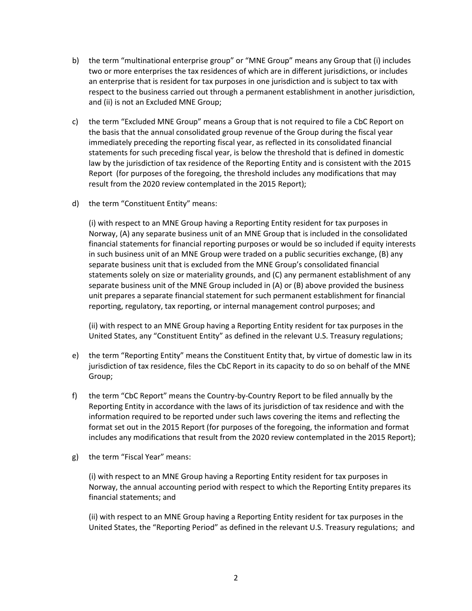- b) the term "multinational enterprise group" or "MNE Group" means any Group that (i) includes two or more enterprises the tax residences of which are in different jurisdictions, or includes an enterprise that is resident for tax purposes in one jurisdiction and is subject to tax with respect to the business carried out through a permanent establishment in another jurisdiction, and (ii) is not an Excluded MNE Group;
- c) the term "Excluded MNE Group" means a Group that is not required to file a CbC Report on the basis that the annual consolidated group revenue of the Group during the fiscal year immediately preceding the reporting fiscal year, as reflected in its consolidated financial statements for such preceding fiscal year, is below the threshold that is defined in domestic law by the jurisdiction of tax residence of the Reporting Entity and is consistent with the 2015 Report (for purposes of the foregoing, the threshold includes any modifications that may result from the 2020 review contemplated in the 2015 Report);
- d) the term "Constituent Entity" means:

(i) with respect to an MNE Group having a Reporting Entity resident for tax purposes in Norway, (A) any separate business unit of an MNE Group that is included in the consolidated financial statements for financial reporting purposes or would be so included if equity interests in such business unit of an MNE Group were traded on a public securities exchange, (B) any separate business unit that is excluded from the MNE Group's consolidated financial statements solely on size or materiality grounds, and (C) any permanent establishment of any separate business unit of the MNE Group included in (A) or (B) above provided the business unit prepares a separate financial statement for such permanent establishment for financial reporting, regulatory, tax reporting, or internal management control purposes; and

(ii) with respect to an MNE Group having a Reporting Entity resident for tax purposes in the United States, any "Constituent Entity" as defined in the relevant U.S. Treasury regulations;

- e) the term "Reporting Entity" means the Constituent Entity that, by virtue of domestic law in its jurisdiction of tax residence, files the CbC Report in its capacity to do so on behalf of the MNE Group;
- f) the term "CbC Report" means the Country-by-Country Report to be filed annually by the Reporting Entity in accordance with the laws of its jurisdiction of tax residence and with the information required to be reported under such laws covering the items and reflecting the format set out in the 2015 Report (for purposes of the foregoing, the information and format includes any modifications that result from the 2020 review contemplated in the 2015 Report);
- g) the term "Fiscal Year" means:

(i) with respect to an MNE Group having a Reporting Entity resident for tax purposes in Norway, the annual accounting period with respect to which the Reporting Entity prepares its financial statements; and

(ii) with respect to an MNE Group having a Reporting Entity resident for tax purposes in the United States, the "Reporting Period" as defined in the relevant U.S. Treasury regulations; and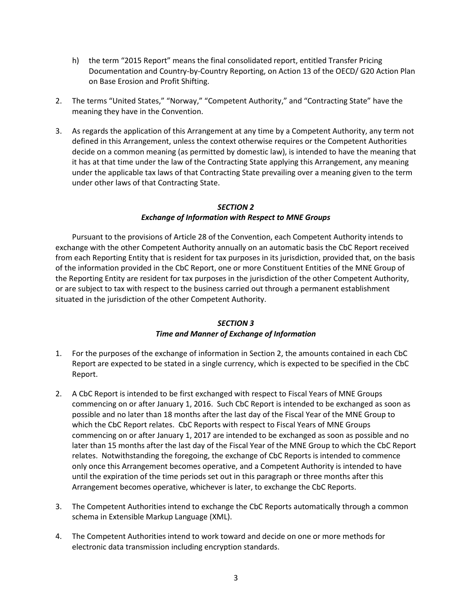- h) the term "2015 Report" means the final consolidated report, entitled Transfer Pricing Documentation and Country-by-Country Reporting, on Action 13 of the OECD/ G20 Action Plan on Base Erosion and Profit Shifting.
- 2. The terms "United States," "Norway," "Competent Authority," and "Contracting State" have the meaning they have in the Convention.
- 3. As regards the application of this Arrangement at any time by a Competent Authority, any term not defined in this Arrangement, unless the context otherwise requires or the Competent Authorities decide on a common meaning (as permitted by domestic law), is intended to have the meaning that it has at that time under the law of the Contracting State applying this Arrangement, any meaning under the applicable tax laws of that Contracting State prevailing over a meaning given to the term under other laws of that Contracting State.

#### *SECTION 2 Exchange of Information with Respect to MNE Groups*

Pursuant to the provisions of Article 28 of the Convention, each Competent Authority intends to exchange with the other Competent Authority annually on an automatic basis the CbC Report received from each Reporting Entity that is resident for tax purposes in its jurisdiction, provided that, on the basis of the information provided in the CbC Report, one or more Constituent Entities of the MNE Group of the Reporting Entity are resident for tax purposes in the jurisdiction of the other Competent Authority, or are subject to tax with respect to the business carried out through a permanent establishment situated in the jurisdiction of the other Competent Authority.

# *SECTION 3*

# *Time and Manner of Exchange of Information*

- 1. For the purposes of the exchange of information in Section 2, the amounts contained in each CbC Report are expected to be stated in a single currency, which is expected to be specified in the CbC Report.
- 2. A CbC Report is intended to be first exchanged with respect to Fiscal Years of MNE Groups commencing on or after January 1, 2016. Such CbC Report is intended to be exchanged as soon as possible and no later than 18 months after the last day of the Fiscal Year of the MNE Group to which the CbC Report relates. CbC Reports with respect to Fiscal Years of MNE Groups commencing on or after January 1, 2017 are intended to be exchanged as soon as possible and no later than 15 months after the last day of the Fiscal Year of the MNE Group to which the CbC Report relates. Notwithstanding the foregoing, the exchange of CbC Reports is intended to commence only once this Arrangement becomes operative, and a Competent Authority is intended to have until the expiration of the time periods set out in this paragraph or three months after this Arrangement becomes operative, whichever is later, to exchange the CbC Reports.
- 3. The Competent Authorities intend to exchange the CbC Reports automatically through a common schema in Extensible Markup Language (XML).
- 4. The Competent Authorities intend to work toward and decide on one or more methods for electronic data transmission including encryption standards.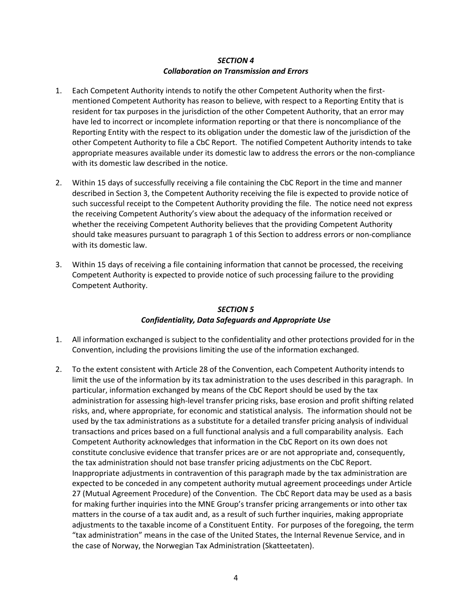### *SECTION 4 Collaboration on Transmission and Errors*

- 1. Each Competent Authority intends to notify the other Competent Authority when the firstmentioned Competent Authority has reason to believe, with respect to a Reporting Entity that is resident for tax purposes in the jurisdiction of the other Competent Authority, that an error may have led to incorrect or incomplete information reporting or that there is noncompliance of the Reporting Entity with the respect to its obligation under the domestic law of the jurisdiction of the other Competent Authority to file a CbC Report. The notified Competent Authority intends to take appropriate measures available under its domestic law to address the errors or the non-compliance with its domestic law described in the notice.
- 2. Within 15 days of successfully receiving a file containing the CbC Report in the time and manner described in Section 3, the Competent Authority receiving the file is expected to provide notice of such successful receipt to the Competent Authority providing the file. The notice need not express the receiving Competent Authority's view about the adequacy of the information received or whether the receiving Competent Authority believes that the providing Competent Authority should take measures pursuant to paragraph 1 of this Section to address errors or non-compliance with its domestic law.
- 3. Within 15 days of receiving a file containing information that cannot be processed, the receiving Competent Authority is expected to provide notice of such processing failure to the providing Competent Authority.

#### *SECTION 5 Confidentiality, Data Safeguards and Appropriate Use*

- 1. All information exchanged is subject to the confidentiality and other protections provided for in the Convention, including the provisions limiting the use of the information exchanged.
- 2. To the extent consistent with Article 28 of the Convention, each Competent Authority intends to limit the use of the information by its tax administration to the uses described in this paragraph. In particular, information exchanged by means of the CbC Report should be used by the tax administration for assessing high-level transfer pricing risks, base erosion and profit shifting related risks, and, where appropriate, for economic and statistical analysis. The information should not be used by the tax administrations as a substitute for a detailed transfer pricing analysis of individual transactions and prices based on a full functional analysis and a full comparability analysis. Each Competent Authority acknowledges that information in the CbC Report on its own does not constitute conclusive evidence that transfer prices are or are not appropriate and, consequently, the tax administration should not base transfer pricing adjustments on the CbC Report. Inappropriate adjustments in contravention of this paragraph made by the tax administration are expected to be conceded in any competent authority mutual agreement proceedings under Article 27 (Mutual Agreement Procedure) of the Convention. The CbC Report data may be used as a basis for making further inquiries into the MNE Group's transfer pricing arrangements or into other tax matters in the course of a tax audit and, as a result of such further inquiries, making appropriate adjustments to the taxable income of a Constituent Entity. For purposes of the foregoing, the term "tax administration" means in the case of the United States, the Internal Revenue Service, and in the case of Norway, the Norwegian Tax Administration (Skatteetaten).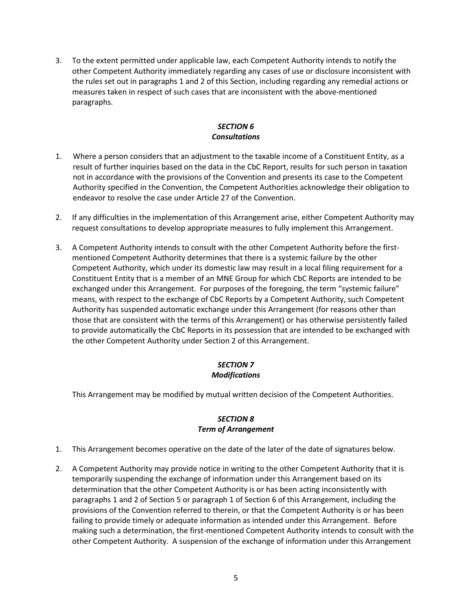3. To the extent permitted under applicable law, each Competent Authority intends to notify the other Competent Authority immediately regarding any cases of use or disclosure inconsistent with the rules set out in paragraphs 1 and 2 of this Section, including regarding any remedial actions or measures taken in respect of such cases that are inconsistent with the above-mentioned paragraphs.

# *SECTION 6 Consultations*

- 1. Where a person considers that an adjustment to the taxable income of a Constituent Entity, as a result of further inquiries based on the data in the CbC Report, results for such person in taxation not in accordance with the provisions of the Convention and presents its case to the Competent Authority specified in the Convention, the Competent Authorities acknowledge their obligation to endeavor to resolve the case under Article 27 of the Convention.
- 2. If any difficulties in the implementation of this Arrangement arise, either Competent Authority may request consultations to develop appropriate measures to fully implement this Arrangement.
- 3. A Competent Authority intends to consult with the other Competent Authority before the firstmentioned Competent Authority determines that there is a systemic failure by the other Competent Authority, which under its domestic law may result in a local filing requirement for a Constituent Entity that is a member of an MNE Group for which CbC Reports are intended to be exchanged under this Arrangement. For purposes of the foregoing, the term "systemic failure" means, with respect to the exchange of CbC Reports by a Competent Authority, such Competent Authority has suspended automatic exchange under this Arrangement (for reasons other than those that are consistent with the terms of this Arrangement) or has otherwise persistently failed to provide automatically the CbC Reports in its possession that are intended to be exchanged with the other Competent Authority under Section 2 of this Arrangement.

# *SECTION 7 Modifications*

This Arrangement may be modified by mutual written decision of the Competent Authorities.

# *SECTION 8 Term of Arrangement*

- 1. This Arrangement becomes operative on the date of the later of the date of signatures below.
- 2. A Competent Authority may provide notice in writing to the other Competent Authority that it is temporarily suspending the exchange of information under this Arrangement based on its determination that the other Competent Authority is or has been acting inconsistently with paragraphs 1 and 2 of Section 5 or paragraph 1 of Section 6 of this Arrangement, including the provisions of the Convention referred to therein, or that the Competent Authority is or has been failing to provide timely or adequate information as intended under this Arrangement. Before making such a determination, the first-mentioned Competent Authority intends to consult with the other Competent Authority. A suspension of the exchange of information under this Arrangement